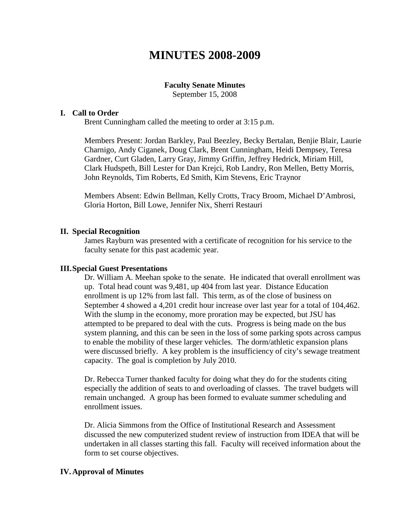# **MINUTES 2008-2009**

## **Faculty Senate Minutes**

September 15, 2008

#### **I. Call to Order**

Brent Cunningham called the meeting to order at 3:15 p.m.

Members Present: Jordan Barkley, Paul Beezley, Becky Bertalan, Benjie Blair, Laurie Charnigo, Andy Ciganek, Doug Clark, Brent Cunningham, Heidi Dempsey, Teresa Gardner, Curt Gladen, Larry Gray, Jimmy Griffin, Jeffrey Hedrick, Miriam Hill, Clark Hudspeth, Bill Lester for Dan Krejci, Rob Landry, Ron Mellen, Betty Morris, John Reynolds, Tim Roberts, Ed Smith, Kim Stevens, Eric Traynor

Members Absent: Edwin Bellman, Kelly Crotts, Tracy Broom, Michael D'Ambrosi, Gloria Horton, Bill Lowe, Jennifer Nix, Sherri Restauri

#### **II. Special Recognition**

James Rayburn was presented with a certificate of recognition for his service to the faculty senate for this past academic year.

#### **III.Special Guest Presentations**

Dr. William A. Meehan spoke to the senate. He indicated that overall enrollment was up. Total head count was 9,481, up 404 from last year. Distance Education enrollment is up 12% from last fall. This term, as of the close of business on September 4 showed a 4,201 credit hour increase over last year for a total of 104,462. With the slump in the economy, more proration may be expected, but JSU has attempted to be prepared to deal with the cuts. Progress is being made on the bus system planning, and this can be seen in the loss of some parking spots across campus to enable the mobility of these larger vehicles. The dorm/athletic expansion plans were discussed briefly. A key problem is the insufficiency of city's sewage treatment capacity. The goal is completion by July 2010.

Dr. Rebecca Turner thanked faculty for doing what they do for the students citing especially the addition of seats to and overloading of classes. The travel budgets will remain unchanged. A group has been formed to evaluate summer scheduling and enrollment issues.

Dr. Alicia Simmons from the Office of Institutional Research and Assessment discussed the new computerized student review of instruction from IDEA that will be undertaken in all classes starting this fall. Faculty will received information about the form to set course objectives.

### **IV.Approval of Minutes**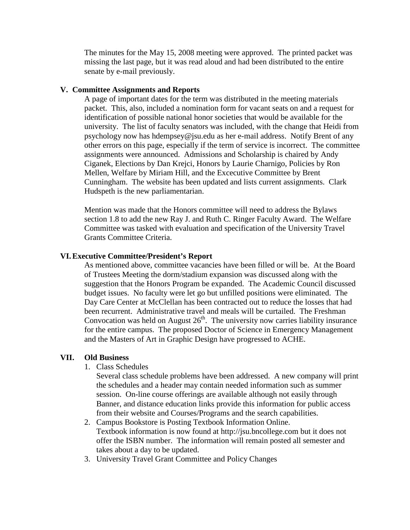The minutes for the May 15, 2008 meeting were approved. The printed packet was missing the last page, but it was read aloud and had been distributed to the entire senate by e-mail previously.

#### **V. Committee Assignments and Reports**

A page of important dates for the term was distributed in the meeting materials packet. This, also, included a nomination form for vacant seats on and a request for identification of possible national honor societies that would be available for the university. The list of faculty senators was included, with the change that Heidi from psychology now has hdempsey@jsu.edu as her e-mail address. Notify Brent of any other errors on this page, especially if the term of service is incorrect. The committee assignments were announced. Admissions and Scholarship is chaired by Andy Ciganek, Elections by Dan Krejci, Honors by Laurie Charnigo, Policies by Ron Mellen, Welfare by Miriam Hill, and the Excecutive Committee by Brent Cunningham. The website has been updated and lists current assignments. Clark Hudspeth is the new parliamentarian.

Mention was made that the Honors committee will need to address the Bylaws section 1.8 to add the new Ray J. and Ruth C. Ringer Faculty Award. The Welfare Committee was tasked with evaluation and specification of the University Travel Grants Committee Criteria.

#### **VI.Executive Committee/President's Report**

As mentioned above, committee vacancies have been filled or will be. At the Board of Trustees Meeting the dorm/stadium expansion was discussed along with the suggestion that the Honors Program be expanded. The Academic Council discussed budget issues. No faculty were let go but unfilled positions were eliminated. The Day Care Center at McClellan has been contracted out to reduce the losses that had been recurrent. Administrative travel and meals will be curtailed. The Freshman Convocation was held on August  $26<sup>th</sup>$ . The university now carries liability insurance for the entire campus. The proposed Doctor of Science in Emergency Management and the Masters of Art in Graphic Design have progressed to ACHE.

#### **VII. Old Business**

1. Class Schedules

Several class schedule problems have been addressed. A new company will print the schedules and a header may contain needed information such as summer session. On-line course offerings are available although not easily through Banner, and distance education links provide this information for public access from their website and Courses/Programs and the search capabilities.

- 2. Campus Bookstore is Posting Textbook Information Online. Textbook information is now found at http://jsu.bncollege.com but it does not offer the ISBN number. The information will remain posted all semester and takes about a day to be updated.
- 3. University Travel Grant Committee and Policy Changes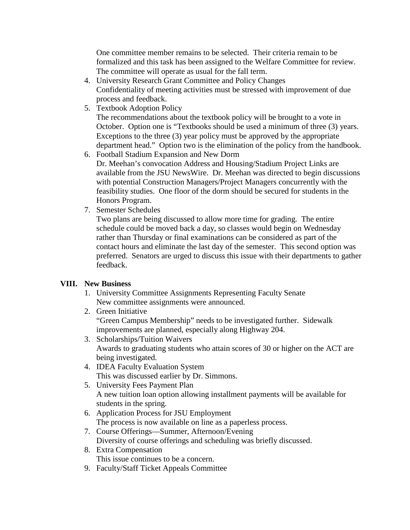One committee member remains to be selected. Their criteria remain to be formalized and this task has been assigned to the Welfare Committee for review. The committee will operate as usual for the fall term.

- 4. University Research Grant Committee and Policy Changes Confidentiality of meeting activities must be stressed with improvement of due process and feedback.
- 5. Textbook Adoption Policy

The recommendations about the textbook policy will be brought to a vote in October. Option one is "Textbooks should be used a minimum of three (3) years. Exceptions to the three (3) year policy must be approved by the appropriate department head." Option two is the elimination of the policy from the handbook.

- 6. Football Stadium Expansion and New Dorm Dr. Meehan's convocation Address and Housing/Stadium Project Links are available from the JSU NewsWire. Dr. Meehan was directed to begin discussions with potential Construction Managers/Project Managers concurrently with the feasibility studies. One floor of the dorm should be secured for students in the Honors Program.
- 7. Semester Schedules

Two plans are being discussed to allow more time for grading. The entire schedule could be moved back a day, so classes would begin on Wednesday rather than Thursday or final examinations can be considered as part of the contact hours and eliminate the last day of the semester. This second option was preferred. Senators are urged to discuss this issue with their departments to gather feedback.

# **VIII. New Business**

- 1. University Committee Assignments Representing Faculty Senate New committee assignments were announced.
- 2. Green Initiative "Green Campus Membership" needs to be investigated further. Sidewalk improvements are planned, especially along Highway 204.
- 3. Scholarships/Tuition Waivers Awards to graduating students who attain scores of 30 or higher on the ACT are being investigated.
- 4. IDEA Faculty Evaluation System This was discussed earlier by Dr. Simmons.
- 5. University Fees Payment Plan A new tuition loan option allowing installment payments will be available for students in the spring.
- 6. Application Process for JSU Employment The process is now available on line as a paperless process.
- 7. Course Offerings—Summer, Afternoon/Evening Diversity of course offerings and scheduling was briefly discussed.
- 8. Extra Compensation This issue continues to be a concern.
- 9. Faculty/Staff Ticket Appeals Committee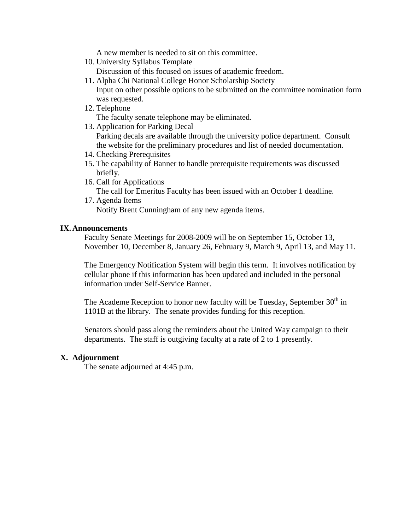A new member is needed to sit on this committee.

10. University Syllabus Template

Discussion of this focused on issues of academic freedom.

- 11. Alpha Chi National College Honor Scholarship Society Input on other possible options to be submitted on the committee nomination form was requested.
- 12. Telephone

The faculty senate telephone may be eliminated.

- 13. Application for Parking Decal Parking decals are available through the university police department. Consult the website for the preliminary procedures and list of needed documentation.
- 14. Checking Prerequisites
- 15. The capability of Banner to handle prerequisite requirements was discussed briefly.
- 16. Call for Applications The call for Emeritus Faculty has been issued with an October 1 deadline.
- 17. Agenda Items

Notify Brent Cunningham of any new agenda items.

#### **IX.Announcements**

Faculty Senate Meetings for 2008-2009 will be on September 15, October 13, November 10, December 8, January 26, February 9, March 9, April 13, and May 11.

The Emergency Notification System will begin this term. It involves notification by cellular phone if this information has been updated and included in the personal information under Self-Service Banner.

The Academe Reception to honor new faculty will be Tuesday, September  $30<sup>th</sup>$  in 1101B at the library. The senate provides funding for this reception.

Senators should pass along the reminders about the United Way campaign to their departments. The staff is outgiving faculty at a rate of 2 to 1 presently.

### **X. Adjournment**

The senate adjourned at 4:45 p.m.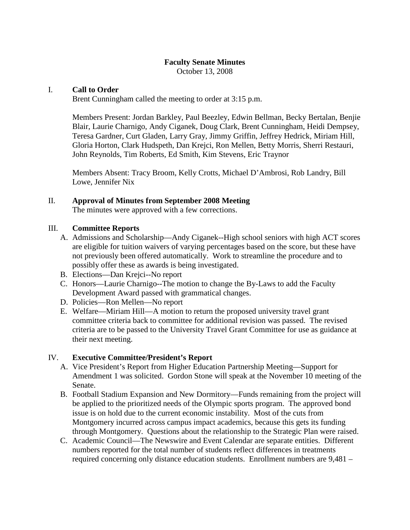October 13, 2008

# I. **Call to Order**

Brent Cunningham called the meeting to order at 3:15 p.m.

Members Present: Jordan Barkley, Paul Beezley, Edwin Bellman, Becky Bertalan, Benjie Blair, Laurie Charnigo, Andy Ciganek, Doug Clark, Brent Cunningham, Heidi Dempsey, Teresa Gardner, Curt Gladen, Larry Gray, Jimmy Griffin, Jeffrey Hedrick, Miriam Hill, Gloria Horton, Clark Hudspeth, Dan Krejci, Ron Mellen, Betty Morris, Sherri Restauri, John Reynolds, Tim Roberts, Ed Smith, Kim Stevens, Eric Traynor

Members Absent: Tracy Broom, Kelly Crotts, Michael D'Ambrosi, Rob Landry, Bill Lowe, Jennifer Nix

## II. **Approval of Minutes from September 2008 Meeting**

The minutes were approved with a few corrections.

## III. **Committee Reports**

- A. Admissions and Scholarship—Andy Ciganek--High school seniors with high ACT scores are eligible for tuition waivers of varying percentages based on the score, but these have not previously been offered automatically. Work to streamline the procedure and to possibly offer these as awards is being investigated.
- B. Elections—Dan Krejci--No report
- C. Honors—Laurie Charnigo--The motion to change the By-Laws to add the Faculty Development Award passed with grammatical changes.
- D. Policies—Ron Mellen—No report
- E. Welfare—Miriam Hill—A motion to return the proposed university travel grant committee criteria back to committee for additional revision was passed. The revised criteria are to be passed to the University Travel Grant Committee for use as guidance at their next meeting.

### IV. **Executive Committee/President's Report**

- A. Vice President's Report from Higher Education Partnership Meeting—Support for Amendment 1 was solicited. Gordon Stone will speak at the November 10 meeting of the Senate.
- B. Football Stadium Expansion and New Dormitory—Funds remaining from the project will be applied to the prioritized needs of the Olympic sports program. The approved bond issue is on hold due to the current economic instability. Most of the cuts from Montgomery incurred across campus impact academics, because this gets its funding through Montgomery. Questions about the relationship to the Strategic Plan were raised.
- C. Academic Council—The Newswire and Event Calendar are separate entities. Different numbers reported for the total number of students reflect differences in treatments required concerning only distance education students. Enrollment numbers are 9,481 –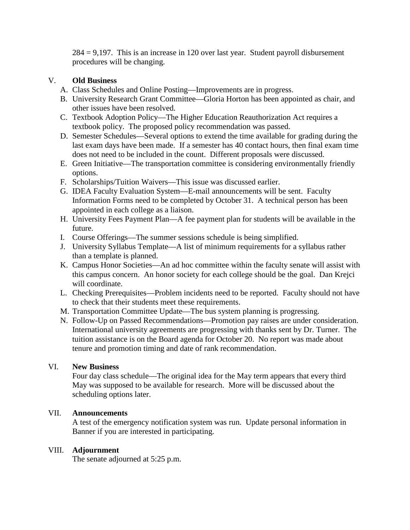$284 = 9.197$ . This is an increase in 120 over last year. Student payroll disbursement procedures will be changing.

# V. **Old Business**

- A. Class Schedules and Online Posting—Improvements are in progress.
- B. University Research Grant Committee—Gloria Horton has been appointed as chair, and other issues have been resolved.
- C. Textbook Adoption Policy—The Higher Education Reauthorization Act requires a textbook policy. The proposed policy recommendation was passed.
- D. Semester Schedules—Several options to extend the time available for grading during the last exam days have been made. If a semester has 40 contact hours, then final exam time does not need to be included in the count. Different proposals were discussed.
- E. Green Initiative—The transportation committee is considering environmentally friendly options.
- F. Scholarships/Tuition Waivers—This issue was discussed earlier.
- G. IDEA Faculty Evaluation System—E-mail announcements will be sent. Faculty Information Forms need to be completed by October 31. A technical person has been appointed in each college as a liaison.
- H. University Fees Payment Plan—A fee payment plan for students will be available in the future.
- I. Course Offerings—The summer sessions schedule is being simplified.
- J. University Syllabus Template—A list of minimum requirements for a syllabus rather than a template is planned.
- K. Campus Honor Societies—An ad hoc committee within the faculty senate will assist with this campus concern. An honor society for each college should be the goal. Dan Krejci will coordinate.
- L. Checking Prerequisites—Problem incidents need to be reported. Faculty should not have to check that their students meet these requirements.
- M. Transportation Committee Update—The bus system planning is progressing.
- N. Follow-Up on Passed Recommendations—Promotion pay raises are under consideration. International university agreements are progressing with thanks sent by Dr. Turner. The tuition assistance is on the Board agenda for October 20. No report was made about tenure and promotion timing and date of rank recommendation.

# VI. **New Business**

Four day class schedule—The original idea for the May term appears that every third May was supposed to be available for research. More will be discussed about the scheduling options later.

# VII. **Announcements**

A test of the emergency notification system was run. Update personal information in Banner if you are interested in participating.

# VIII. **Adjournment**

The senate adjourned at 5:25 p.m.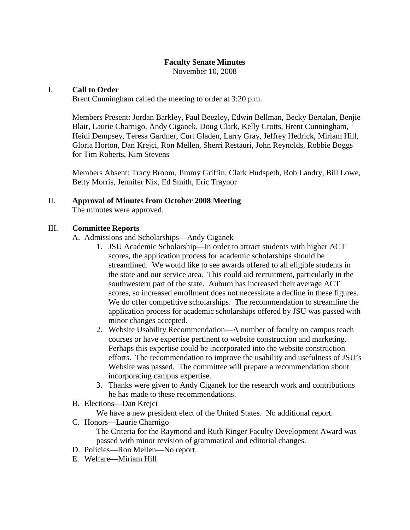November 10, 2008

### I. **Call to Order**

Brent Cunningham called the meeting to order at 3:20 p.m.

Members Present: Jordan Barkley, Paul Beezley, Edwin Bellman, Becky Bertalan, Benjie Blair, Laurie Charnigo, Andy Ciganek, Doug Clark, Kelly Crotts, Brent Cunningham, Heidi Dempsey, Teresa Gardner, Curt Gladen, Larry Gray, Jeffrey Hedrick, Miriam Hill, Gloria Horton, Dan Krejci, Ron Mellen, Sherri Restauri, John Reynolds, Robbie Boggs for Tim Roberts, Kim Stevens

Members Absent: Tracy Broom, Jimmy Griffin, Clark Hudspeth, Rob Landry, Bill Lowe, Betty Morris, Jennifer Nix, Ed Smith, Eric Traynor

## II. **Approval of Minutes from October 2008 Meeting**

The minutes were approved.

## III. **Committee Reports**

- A. Admissions and Scholarships—Andy Ciganek
	- 1. JSU Academic Scholarship—In order to attract students with higher ACT scores, the application process for academic scholarships should be streamlined. We would like to see awards offered to all eligible students in the state and our service area. This could aid recruitment, particularly in the southwestern part of the state. Auburn has increased their average ACT scores, so increased enrollment does not necessitate a decline in these figures. We do offer competitive scholarships. The recommendation to streamline the application process for academic scholarships offered by JSU was passed with minor changes accepted.
	- 2. Website Usability Recommendation—A number of faculty on campus teach courses or have expertise pertinent to website construction and marketing. Perhaps this expertise could be incorporated into the website construction efforts. The recommendation to improve the usability and usefulness of JSU's Website was passed. The committee will prepare a recommendation about incorporating campus expertise.
	- 3. Thanks were given to Andy Ciganek for the research work and contributions he has made to these recommendations.
- B. Elections—Dan Krejci

We have a new president elect of the United States. No additional report.

C. Honors—Laurie Charnigo

The Criteria for the Raymond and Ruth Ringer Faculty Development Award was passed with minor revision of grammatical and editorial changes.

- D. Policies—Ron Mellen—No report.
- E. Welfare—Miriam Hill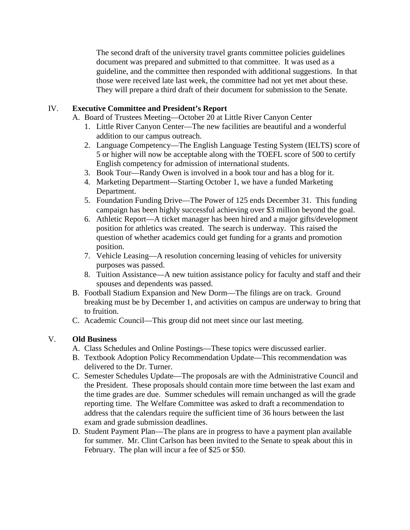The second draft of the university travel grants committee policies guidelines document was prepared and submitted to that committee. It was used as a guideline, and the committee then responded with additional suggestions. In that those were received late last week, the committee had not yet met about these. They will prepare a third draft of their document for submission to the Senate.

# IV. **Executive Committee and President's Report**

- A. Board of Trustees Meeting—October 20 at Little River Canyon Center
	- 1. Little River Canyon Center—The new facilities are beautiful and a wonderful addition to our campus outreach.
	- 2. Language Competency—The English Language Testing System (IELTS) score of 5 or higher will now be acceptable along with the TOEFL score of 500 to certify English competency for admission of international students.
	- 3. Book Tour—Randy Owen is involved in a book tour and has a blog for it.
	- 4. Marketing Department—Starting October 1, we have a funded Marketing Department.
	- 5. Foundation Funding Drive—The Power of 125 ends December 31. This funding campaign has been highly successful achieving over \$3 million beyond the goal.
	- 6. Athletic Report—A ticket manager has been hired and a major gifts/development position for athletics was created. The search is underway. This raised the question of whether academics could get funding for a grants and promotion position.
	- 7. Vehicle Leasing—A resolution concerning leasing of vehicles for university purposes was passed.
	- 8. Tuition Assistance—A new tuition assistance policy for faculty and staff and their spouses and dependents was passed.
- B. Football Stadium Expansion and New Dorm—The filings are on track. Ground breaking must be by December 1, and activities on campus are underway to bring that to fruition.
- C. Academic Council—This group did not meet since our last meeting.

# V. **Old Business**

- A. Class Schedules and Online Postings—These topics were discussed earlier.
- B. Textbook Adoption Policy Recommendation Update—This recommendation was delivered to the Dr. Turner.
- C. Semester Schedules Update—The proposals are with the Administrative Council and the President. These proposals should contain more time between the last exam and the time grades are due. Summer schedules will remain unchanged as will the grade reporting time. The Welfare Committee was asked to draft a recommendation to address that the calendars require the sufficient time of 36 hours between the last exam and grade submission deadlines.
- D. Student Payment Plan—The plans are in progress to have a payment plan available for summer. Mr. Clint Carlson has been invited to the Senate to speak about this in February. The plan will incur a fee of \$25 or \$50.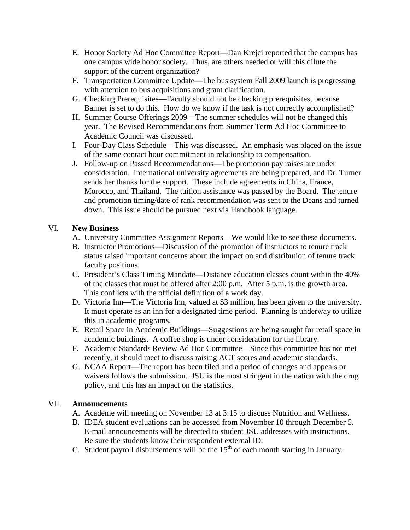- E. Honor Society Ad Hoc Committee Report—Dan Krejci reported that the campus has one campus wide honor society. Thus, are others needed or will this dilute the support of the current organization?
- F. Transportation Committee Update—The bus system Fall 2009 launch is progressing with attention to bus acquisitions and grant clarification.
- G. Checking Prerequisites—Faculty should not be checking prerequisites, because Banner is set to do this. How do we know if the task is not correctly accomplished?
- H. Summer Course Offerings 2009—The summer schedules will not be changed this year. The Revised Recommendations from Summer Term Ad Hoc Committee to Academic Council was discussed.
- I. Four-Day Class Schedule—This was discussed. An emphasis was placed on the issue of the same contact hour commitment in relationship to compensation.
- J. Follow-up on Passed Recommendations—The promotion pay raises are under consideration. International university agreements are being prepared, and Dr. Turner sends her thanks for the support. These include agreements in China, France, Morocco, and Thailand. The tuition assistance was passed by the Board. The tenure and promotion timing/date of rank recommendation was sent to the Deans and turned down. This issue should be pursued next via Handbook language.

# VI. **New Business**

- A. University Committee Assignment Reports—We would like to see these documents.
- B. Instructor Promotions—Discussion of the promotion of instructors to tenure track status raised important concerns about the impact on and distribution of tenure track faculty positions.
- C. President's Class Timing Mandate—Distance education classes count within the 40% of the classes that must be offered after 2:00 p.m. After 5 p.m. is the growth area. This conflicts with the official definition of a work day.
- D. Victoria Inn—The Victoria Inn, valued at \$3 million, has been given to the university. It must operate as an inn for a designated time period. Planning is underway to utilize this in academic programs.
- E. Retail Space in Academic Buildings—Suggestions are being sought for retail space in academic buildings. A coffee shop is under consideration for the library.
- F. Academic Standards Review Ad Hoc Committee—Since this committee has not met recently, it should meet to discuss raising ACT scores and academic standards.
- G. NCAA Report—The report has been filed and a period of changes and appeals or waivers follows the submission. JSU is the most stringent in the nation with the drug policy, and this has an impact on the statistics.

# VII. **Announcements**

- A. Academe will meeting on November 13 at 3:15 to discuss Nutrition and Wellness.
- B. IDEA student evaluations can be accessed from November 10 through December 5. E-mail announcements will be directed to student JSU addresses with instructions. Be sure the students know their respondent external ID.
- C. Student payroll disbursements will be the  $15<sup>th</sup>$  of each month starting in January.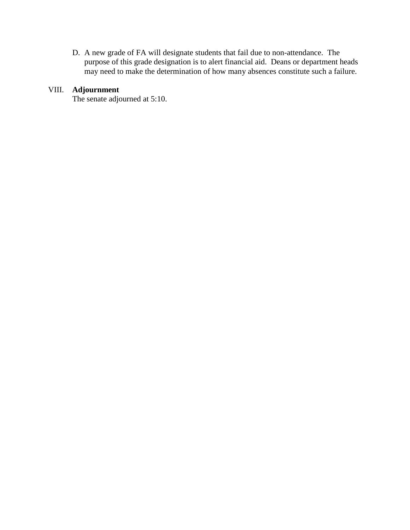D. A new grade of FA will designate students that fail due to non-attendance. The purpose of this grade designation is to alert financial aid. Deans or department heads may need to make the determination of how many absences constitute such a failure.

# VIII. **Adjournment**

The senate adjourned at 5:10.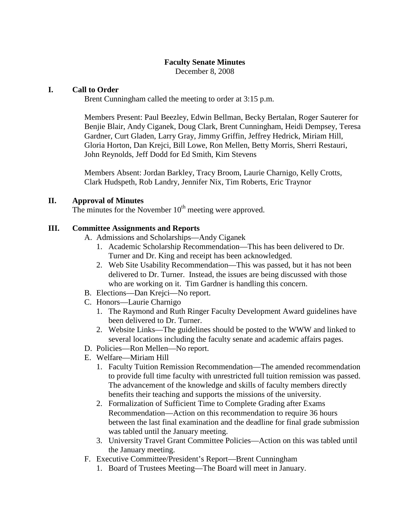December 8, 2008

## **I. Call to Order**

Brent Cunningham called the meeting to order at 3:15 p.m.

Members Present: Paul Beezley, Edwin Bellman, Becky Bertalan, Roger Sauterer for Benjie Blair, Andy Ciganek, Doug Clark, Brent Cunningham, Heidi Dempsey, Teresa Gardner, Curt Gladen, Larry Gray, Jimmy Griffin, Jeffrey Hedrick, Miriam Hill, Gloria Horton, Dan Krejci, Bill Lowe, Ron Mellen, Betty Morris, Sherri Restauri, John Reynolds, Jeff Dodd for Ed Smith, Kim Stevens

Members Absent: Jordan Barkley, Tracy Broom, Laurie Charnigo, Kelly Crotts, Clark Hudspeth, Rob Landry, Jennifer Nix, Tim Roberts, Eric Traynor

#### **II. Approval of Minutes**

The minutes for the November  $10<sup>th</sup>$  meeting were approved.

### **III. Committee Assignments and Reports**

- A. Admissions and Scholarships—Andy Ciganek
	- 1. Academic Scholarship Recommendation—This has been delivered to Dr. Turner and Dr. King and receipt has been acknowledged.
	- 2. Web Site Usability Recommendation—This was passed, but it has not been delivered to Dr. Turner. Instead, the issues are being discussed with those who are working on it. Tim Gardner is handling this concern.
- B. Elections—Dan Krejci—No report.
- C. Honors—Laurie Charnigo
	- 1. The Raymond and Ruth Ringer Faculty Development Award guidelines have been delivered to Dr. Turner.
	- 2. Website Links—The guidelines should be posted to the WWW and linked to several locations including the faculty senate and academic affairs pages.
- D. Policies—Ron Mellen—No report.
- E. Welfare—Miriam Hill
	- 1. Faculty Tuition Remission Recommendation—The amended recommendation to provide full time faculty with unrestricted full tuition remission was passed. The advancement of the knowledge and skills of faculty members directly benefits their teaching and supports the missions of the university.
	- 2. Formalization of Sufficient Time to Complete Grading after Exams Recommendation—Action on this recommendation to require 36 hours between the last final examination and the deadline for final grade submission was tabled until the January meeting.
	- 3. University Travel Grant Committee Policies—Action on this was tabled until the January meeting.
- F. Executive Committee/President's Report—Brent Cunningham
	- 1. Board of Trustees Meeting—The Board will meet in January.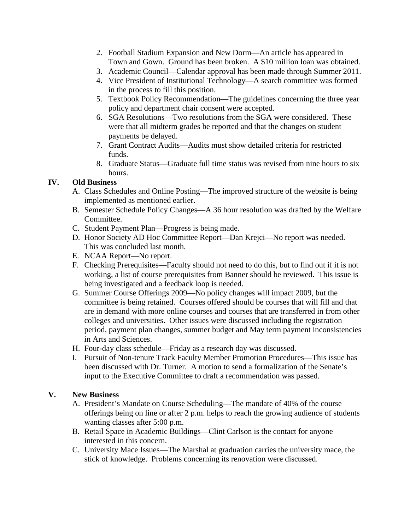- 2. Football Stadium Expansion and New Dorm—An article has appeared in Town and Gown. Ground has been broken. A \$10 million loan was obtained.
- 3. Academic Council—Calendar approval has been made through Summer 2011.
- 4. Vice President of Institutional Technology—A search committee was formed in the process to fill this position.
- 5. Textbook Policy Recommendation—The guidelines concerning the three year policy and department chair consent were accepted.
- 6. SGA Resolutions—Two resolutions from the SGA were considered. These were that all midterm grades be reported and that the changes on student payments be delayed.
- 7. Grant Contract Audits—Audits must show detailed criteria for restricted funds.
- 8. Graduate Status—Graduate full time status was revised from nine hours to six hours.

# **IV. Old Business**

- A. Class Schedules and Online Posting—The improved structure of the website is being implemented as mentioned earlier.
- B. Semester Schedule Policy Changes—A 36 hour resolution was drafted by the Welfare Committee.
- C. Student Payment Plan—Progress is being made.
- D. Honor Society AD Hoc Committee Report—Dan Krejci—No report was needed. This was concluded last month.
- E. NCAA Report—No report.
- F. Checking Prerequisites—Faculty should not need to do this, but to find out if it is not working, a list of course prerequisites from Banner should be reviewed. This issue is being investigated and a feedback loop is needed.
- G. Summer Course Offerings 2009—No policy changes will impact 2009, but the committee is being retained. Courses offered should be courses that will fill and that are in demand with more online courses and courses that are transferred in from other colleges and universities. Other issues were discussed including the registration period, payment plan changes, summer budget and May term payment inconsistencies in Arts and Sciences.
- H. Four-day class schedule—Friday as a research day was discussed.
- I. Pursuit of Non-tenure Track Faculty Member Promotion Procedures—This issue has been discussed with Dr. Turner. A motion to send a formalization of the Senate's input to the Executive Committee to draft a recommendation was passed.

# **V. New Business**

- A. President's Mandate on Course Scheduling—The mandate of 40% of the course offerings being on line or after 2 p.m. helps to reach the growing audience of students wanting classes after 5:00 p.m.
- B. Retail Space in Academic Buildings—Clint Carlson is the contact for anyone interested in this concern.
- C. University Mace Issues—The Marshal at graduation carries the university mace, the stick of knowledge. Problems concerning its renovation were discussed.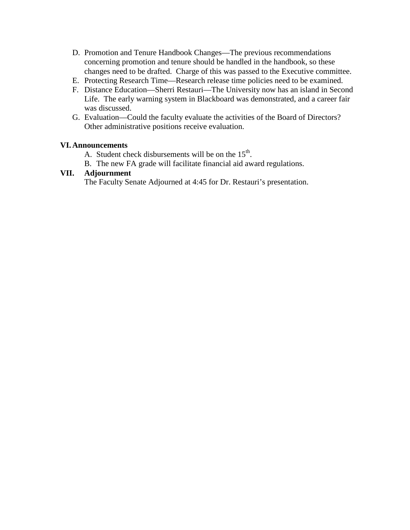- D. Promotion and Tenure Handbook Changes—The previous recommendations concerning promotion and tenure should be handled in the handbook, so these changes need to be drafted. Charge of this was passed to the Executive committee.
- E. Protecting Research Time—Research release time policies need to be examined.
- F. Distance Education—Sherri Restauri—The University now has an island in Second Life. The early warning system in Blackboard was demonstrated, and a career fair was discussed.
- G. Evaluation—Could the faculty evaluate the activities of the Board of Directors? Other administrative positions receive evaluation.

## **VI.Announcements**

- A. Student check disbursements will be on the  $15<sup>th</sup>$ .
- B. The new FA grade will facilitate financial aid award regulations.

## **VII. Adjournment**

The Faculty Senate Adjourned at 4:45 for Dr. Restauri's presentation.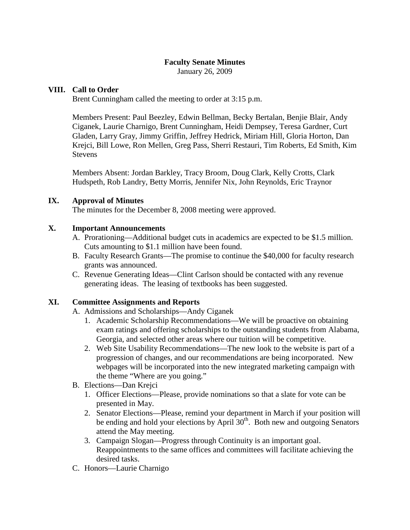January 26, 2009

## **VIII. Call to Order**

Brent Cunningham called the meeting to order at 3:15 p.m.

Members Present: Paul Beezley, Edwin Bellman, Becky Bertalan, Benjie Blair, Andy Ciganek, Laurie Charnigo, Brent Cunningham, Heidi Dempsey, Teresa Gardner, Curt Gladen, Larry Gray, Jimmy Griffin, Jeffrey Hedrick, Miriam Hill, Gloria Horton, Dan Krejci, Bill Lowe, Ron Mellen, Greg Pass, Sherri Restauri, Tim Roberts, Ed Smith, Kim Stevens

Members Absent: Jordan Barkley, Tracy Broom, Doug Clark, Kelly Crotts, Clark Hudspeth, Rob Landry, Betty Morris, Jennifer Nix, John Reynolds, Eric Traynor

## **IX. Approval of Minutes**

The minutes for the December 8, 2008 meeting were approved.

## **X. Important Announcements**

- A. Prorationing—Additional budget cuts in academics are expected to be \$1.5 million. Cuts amounting to \$1.1 million have been found.
- B. Faculty Research Grants—The promise to continue the \$40,000 for faculty research grants was announced.
- C. Revenue Generating Ideas—Clint Carlson should be contacted with any revenue generating ideas. The leasing of textbooks has been suggested.

### **XI. Committee Assignments and Reports**

- A. Admissions and Scholarships—Andy Ciganek
	- 1. Academic Scholarship Recommendations—We will be proactive on obtaining exam ratings and offering scholarships to the outstanding students from Alabama, Georgia, and selected other areas where our tuition will be competitive.
	- 2. Web Site Usability Recommendations—The new look to the website is part of a progression of changes, and our recommendations are being incorporated. New webpages will be incorporated into the new integrated marketing campaign with the theme "Where are you going."
- B. Elections—Dan Krejci
	- 1. Officer Elections—Please, provide nominations so that a slate for vote can be presented in May.
	- 2. Senator Elections—Please, remind your department in March if your position will be ending and hold your elections by April  $30<sup>th</sup>$ . Both new and outgoing Senators attend the May meeting.
	- 3. Campaign Slogan—Progress through Continuity is an important goal. Reappointments to the same offices and committees will facilitate achieving the desired tasks.
- C. Honors—Laurie Charnigo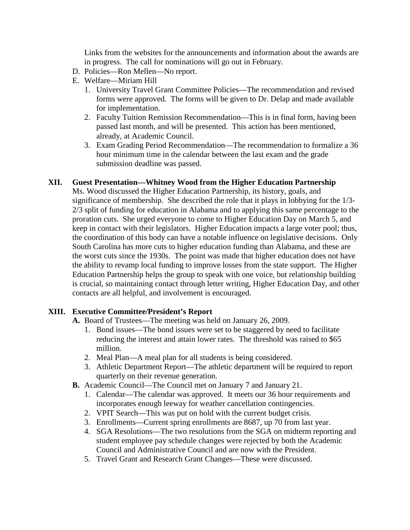Links from the websites for the announcements and information about the awards are in progress. The call for nominations will go out in February.

- D. Policies—Ron Mellen—No report.
- E. Welfare—Miriam Hill
	- 1. University Travel Grant Committee Policies—The recommendation and revised forms were approved. The forms will be given to Dr. Delap and made available for implementation.
	- 2. Faculty Tuition Remission Recommendation—This is in final form, having been passed last month, and will be presented. This action has been mentioned, already, at Academic Council.
	- 3. Exam Grading Period Recommendation—The recommendation to formalize a 36 hour minimum time in the calendar between the last exam and the grade submission deadline was passed.

## **XII. Guest Presentation—Whitney Wood from the Higher Education Partnership**

Ms. Wood discussed the Higher Education Partnership, its history, goals, and significance of membership. She described the role that it plays in lobbying for the 1/3- 2/3 split of funding for education in Alabama and to applying this same percentage to the proration cuts. She urged everyone to come to Higher Education Day on March 5, and keep in contact with their legislators. Higher Education impacts a large voter pool; thus, the coordination of this body can have a notable influence on legislative decisions. Only South Carolina has more cuts to higher education funding than Alabama, and these are the worst cuts since the 1930s. The point was made that higher education does not have the ability to revamp local funding to improve losses from the state support. The Higher Education Partnership helps the group to speak with one voice, but relationship building is crucial, so maintaining contact through letter writing, Higher Education Day, and other contacts are all helpful, and involvement is encouraged.

# **XIII. Executive Committee/President's Report**

- **A.** Board of Trustees—The meeting was held on January 26, 2009.
	- 1. Bond issues—The bond issues were set to be staggered by need to facilitate reducing the interest and attain lower rates. The threshold was raised to \$65 million.
	- 2. Meal Plan—A meal plan for all students is being considered.
	- 3. Athletic Department Report—The athletic department will be required to report quarterly on their revenue generation.
- **B.** Academic Council—The Council met on January 7 and January 21.
	- 1. Calendar—The calendar was approved. It meets our 36 hour requirements and incorporates enough leeway for weather cancellation contingencies.
	- 2. VPIT Search—This was put on hold with the current budget crisis.
	- 3. Enrollments—Current spring enrollments are 8687, up 70 from last year.
	- 4. SGA Resolutions—The two resolutions from the SGA on midterm reporting and student employee pay schedule changes were rejected by both the Academic Council and Administrative Council and are now with the President.
	- 5. Travel Grant and Research Grant Changes—These were discussed.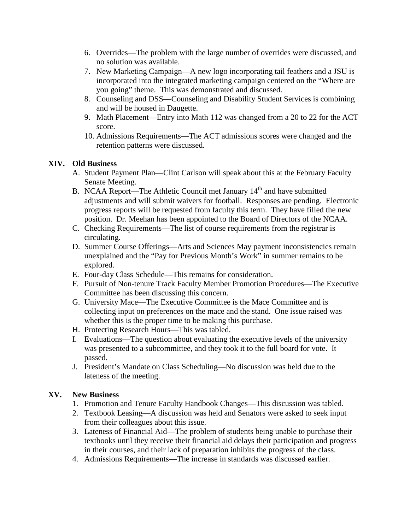- 6. Overrides—The problem with the large number of overrides were discussed, and no solution was available.
- 7. New Marketing Campaign—A new logo incorporating tail feathers and a JSU is incorporated into the integrated marketing campaign centered on the "Where are you going" theme. This was demonstrated and discussed.
- 8. Counseling and DSS—Counseling and Disability Student Services is combining and will be housed in Daugette.
- 9. Math Placement—Entry into Math 112 was changed from a 20 to 22 for the ACT score.
- 10. Admissions Requirements—The ACT admissions scores were changed and the retention patterns were discussed.

# **XIV. Old Business**

- A. Student Payment Plan—Clint Carlson will speak about this at the February Faculty Senate Meeting.
- B. NCAA Report—The Athletic Council met January  $14<sup>th</sup>$  and have submitted adjustments and will submit waivers for football. Responses are pending. Electronic progress reports will be requested from faculty this term. They have filled the new position. Dr. Meehan has been appointed to the Board of Directors of the NCAA.
- C. Checking Requirements—The list of course requirements from the registrar is circulating.
- D. Summer Course Offerings—Arts and Sciences May payment inconsistencies remain unexplained and the "Pay for Previous Month's Work" in summer remains to be explored.
- E. Four-day Class Schedule—This remains for consideration.
- F. Pursuit of Non-tenure Track Faculty Member Promotion Procedures—The Executive Committee has been discussing this concern.
- G. University Mace—The Executive Committee is the Mace Committee and is collecting input on preferences on the mace and the stand. One issue raised was whether this is the proper time to be making this purchase.
- H. Protecting Research Hours—This was tabled.
- I. Evaluations—The question about evaluating the executive levels of the university was presented to a subcommittee, and they took it to the full board for vote. It passed.
- J. President's Mandate on Class Scheduling—No discussion was held due to the lateness of the meeting.

# **XV. New Business**

- 1. Promotion and Tenure Faculty Handbook Changes—This discussion was tabled.
- 2. Textbook Leasing—A discussion was held and Senators were asked to seek input from their colleagues about this issue.
- 3. Lateness of Financial Aid—The problem of students being unable to purchase their textbooks until they receive their financial aid delays their participation and progress in their courses, and their lack of preparation inhibits the progress of the class.
- 4. Admissions Requirements—The increase in standards was discussed earlier.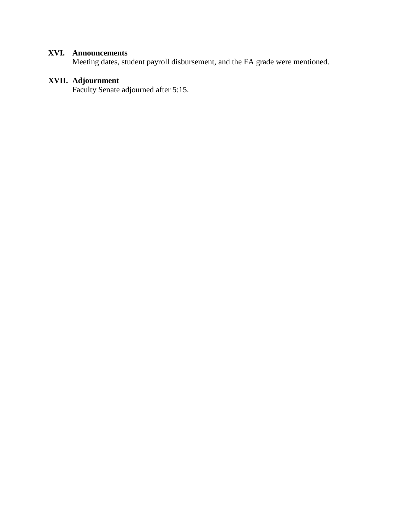# **XVI. Announcements**

Meeting dates, student payroll disbursement, and the FA grade were mentioned.

# **XVII. Adjournment**

Faculty Senate adjourned after 5:15.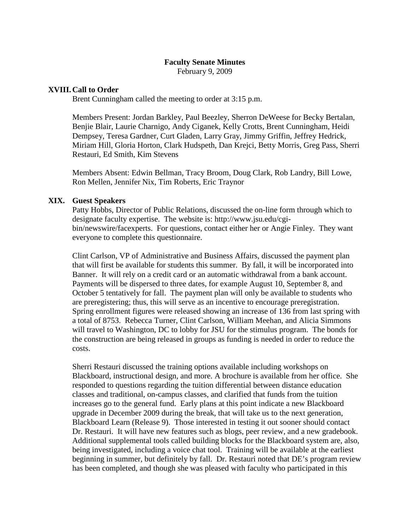February 9, 2009

#### **XVIII.Call to Order**

Brent Cunningham called the meeting to order at 3:15 p.m.

Members Present: Jordan Barkley, Paul Beezley, Sherron DeWeese for Becky Bertalan, Benjie Blair, Laurie Charnigo, Andy Ciganek, Kelly Crotts, Brent Cunningham, Heidi Dempsey, Teresa Gardner, Curt Gladen, Larry Gray, Jimmy Griffin, Jeffrey Hedrick, Miriam Hill, Gloria Horton, Clark Hudspeth, Dan Krejci, Betty Morris, Greg Pass, Sherri Restauri, Ed Smith, Kim Stevens

Members Absent: Edwin Bellman, Tracy Broom, Doug Clark, Rob Landry, Bill Lowe, Ron Mellen, Jennifer Nix, Tim Roberts, Eric Traynor

#### **XIX. Guest Speakers**

Patty Hobbs, Director of Public Relations, discussed the on-line form through which to designate faculty expertise. The website is: http://www.jsu.edu/cgibin/newswire/facexperts. For questions, contact either her or Angie Finley. They want everyone to complete this questionnaire.

Clint Carlson, VP of Administrative and Business Affairs, discussed the payment plan that will first be available for students this summer. By fall, it will be incorporated into Banner. It will rely on a credit card or an automatic withdrawal from a bank account. Payments will be dispersed to three dates, for example August 10, September 8, and October 5 tentatively for fall. The payment plan will only be available to students who are preregistering; thus, this will serve as an incentive to encourage preregistration. Spring enrollment figures were released showing an increase of 136 from last spring with a total of 8753. Rebecca Turner, Clint Carlson, William Meehan, and Alicia Simmons will travel to Washington, DC to lobby for JSU for the stimulus program. The bonds for the construction are being released in groups as funding is needed in order to reduce the costs.

Sherri Restauri discussed the training options available including workshops on Blackboard, instructional design, and more. A brochure is available from her office. She responded to questions regarding the tuition differential between distance education classes and traditional, on-campus classes, and clarified that funds from the tuition increases go to the general fund. Early plans at this point indicate a new Blackboard upgrade in December 2009 during the break, that will take us to the next generation, Blackboard Learn (Release 9). Those interested in testing it out sooner should contact Dr. Restauri. It will have new features such as blogs, peer review, and a new gradebook. Additional supplemental tools called building blocks for the Blackboard system are, also, being investigated, including a voice chat tool. Training will be available at the earliest beginning in summer, but definitely by fall. Dr. Restauri noted that DE's program review has been completed, and though she was pleased with faculty who participated in this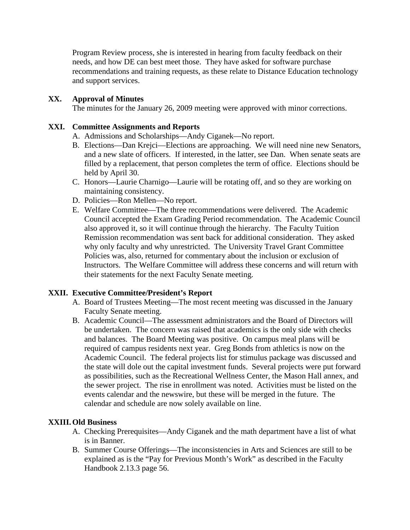Program Review process, she is interested in hearing from faculty feedback on their needs, and how DE can best meet those. They have asked for software purchase recommendations and training requests, as these relate to Distance Education technology and support services.

# **XX. Approval of Minutes**

The minutes for the January 26, 2009 meeting were approved with minor corrections.

## **XXI. Committee Assignments and Reports**

- A. Admissions and Scholarships—Andy Ciganek—No report.
- B. Elections—Dan Krejci—Elections are approaching. We will need nine new Senators, and a new slate of officers. If interested, in the latter, see Dan. When senate seats are filled by a replacement, that person completes the term of office. Elections should be held by April 30.
- C. Honors—Laurie Charnigo—Laurie will be rotating off, and so they are working on maintaining consistency.
- D. Policies—Ron Mellen—No report.
- E. Welfare Committee—The three recommendations were delivered. The Academic Council accepted the Exam Grading Period recommendation. The Academic Council also approved it, so it will continue through the hierarchy. The Faculty Tuition Remission recommendation was sent back for additional consideration. They asked why only faculty and why unrestricted. The University Travel Grant Committee Policies was, also, returned for commentary about the inclusion or exclusion of Instructors. The Welfare Committee will address these concerns and will return with their statements for the next Faculty Senate meeting.

# **XXII. Executive Committee/President's Report**

- A. Board of Trustees Meeting—The most recent meeting was discussed in the January Faculty Senate meeting.
- B. Academic Council—The assessment administrators and the Board of Directors will be undertaken. The concern was raised that academics is the only side with checks and balances. The Board Meeting was positive. On campus meal plans will be required of campus residents next year. Greg Bonds from athletics is now on the Academic Council. The federal projects list for stimulus package was discussed and the state will dole out the capital investment funds. Several projects were put forward as possibilities, such as the Recreational Wellness Center, the Mason Hall annex, and the sewer project. The rise in enrollment was noted. Activities must be listed on the events calendar and the newswire, but these will be merged in the future. The calendar and schedule are now solely available on line.

# **XXIII.Old Business**

- A. Checking Prerequisites—Andy Ciganek and the math department have a list of what is in Banner.
- B. Summer Course Offerings—The inconsistencies in Arts and Sciences are still to be explained as is the "Pay for Previous Month's Work" as described in the Faculty Handbook 2.13.3 page 56.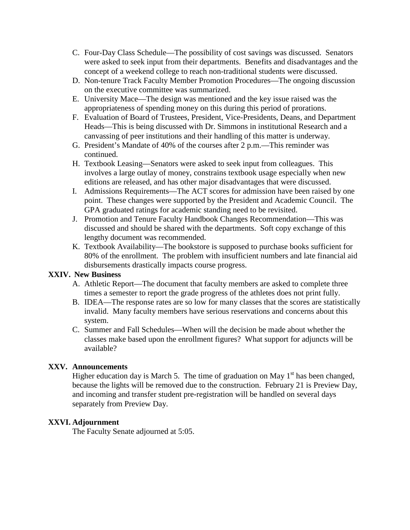- C. Four-Day Class Schedule—The possibility of cost savings was discussed. Senators were asked to seek input from their departments. Benefits and disadvantages and the concept of a weekend college to reach non-traditional students were discussed.
- D. Non-tenure Track Faculty Member Promotion Procedures—The ongoing discussion on the executive committee was summarized.
- E. University Mace—The design was mentioned and the key issue raised was the appropriateness of spending money on this during this period of prorations.
- F. Evaluation of Board of Trustees, President, Vice-Presidents, Deans, and Department Heads—This is being discussed with Dr. Simmons in institutional Research and a canvassing of peer institutions and their handling of this matter is underway.
- G. President's Mandate of 40% of the courses after 2 p.m.—This reminder was continued.
- H. Textbook Leasing—Senators were asked to seek input from colleagues. This involves a large outlay of money, constrains textbook usage especially when new editions are released, and has other major disadvantages that were discussed.
- I. Admissions Requirements—The ACT scores for admission have been raised by one point. These changes were supported by the President and Academic Council. The GPA graduated ratings for academic standing need to be revisited.
- J. Promotion and Tenure Faculty Handbook Changes Recommendation—This was discussed and should be shared with the departments. Soft copy exchange of this lengthy document was recommended.
- K. Textbook Availability—The bookstore is supposed to purchase books sufficient for 80% of the enrollment. The problem with insufficient numbers and late financial aid disbursements drastically impacts course progress.

# **XXIV. New Business**

- A. Athletic Report—The document that faculty members are asked to complete three times a semester to report the grade progress of the athletes does not print fully.
- B. IDEA—The response rates are so low for many classes that the scores are statistically invalid. Many faculty members have serious reservations and concerns about this system.
- C. Summer and Fall Schedules—When will the decision be made about whether the classes make based upon the enrollment figures? What support for adjuncts will be available?

# **XXV. Announcements**

Higher education day is March 5. The time of graduation on May  $1<sup>st</sup>$  has been changed, because the lights will be removed due to the construction. February 21 is Preview Day, and incoming and transfer student pre-registration will be handled on several days separately from Preview Day.

# **XXVI. Adjournment**

The Faculty Senate adjourned at 5:05.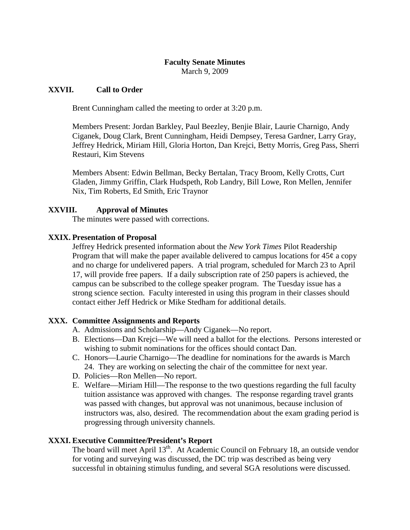March 9, 2009

### **XXVII. Call to Order**

Brent Cunningham called the meeting to order at 3:20 p.m.

Members Present: Jordan Barkley, Paul Beezley, Benjie Blair, Laurie Charnigo, Andy Ciganek, Doug Clark, Brent Cunningham, Heidi Dempsey, Teresa Gardner, Larry Gray, Jeffrey Hedrick, Miriam Hill, Gloria Horton, Dan Krejci, Betty Morris, Greg Pass, Sherri Restauri, Kim Stevens

Members Absent: Edwin Bellman, Becky Bertalan, Tracy Broom, Kelly Crotts, Curt Gladen, Jimmy Griffin, Clark Hudspeth, Rob Landry, Bill Lowe, Ron Mellen, Jennifer Nix, Tim Roberts, Ed Smith, Eric Traynor

## **XXVIII. Approval of Minutes**

The minutes were passed with corrections.

### **XXIX. Presentation of Proposal**

Jeffrey Hedrick presented information about the *New York Times* Pilot Readership Program that will make the paper available delivered to campus locations for  $45¢$  a copy and no charge for undelivered papers. A trial program, scheduled for March 23 to April 17, will provide free papers. If a daily subscription rate of 250 papers is achieved, the campus can be subscribed to the college speaker program. The Tuesday issue has a strong science section. Faculty interested in using this program in their classes should contact either Jeff Hedrick or Mike Stedham for additional details.

### **XXX. Committee Assignments and Reports**

- A. Admissions and Scholarship—Andy Ciganek—No report.
- B. Elections—Dan Krejci—We will need a ballot for the elections. Persons interested or wishing to submit nominations for the offices should contact Dan.
- C. Honors—Laurie Charnigo—The deadline for nominations for the awards is March 24. They are working on selecting the chair of the committee for next year.
- D. Policies—Ron Mellen—No report.
- E. Welfare—Miriam Hill—The response to the two questions regarding the full faculty tuition assistance was approved with changes. The response regarding travel grants was passed with changes, but approval was not unanimous, because inclusion of instructors was, also, desired. The recommendation about the exam grading period is progressing through university channels.

### **XXXI. Executive Committee/President's Report**

The board will meet April 13<sup>th</sup>. At Academic Council on February 18, an outside vendor for voting and surveying was discussed, the DC trip was described as being very successful in obtaining stimulus funding, and several SGA resolutions were discussed.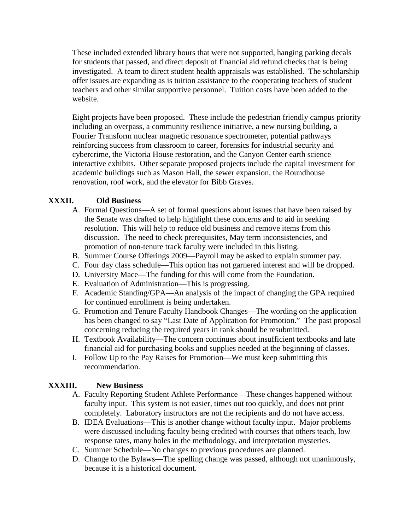These included extended library hours that were not supported, hanging parking decals for students that passed, and direct deposit of financial aid refund checks that is being investigated. A team to direct student health appraisals was established. The scholarship offer issues are expanding as is tuition assistance to the cooperating teachers of student teachers and other similar supportive personnel. Tuition costs have been added to the website.

Eight projects have been proposed. These include the pedestrian friendly campus priority including an overpass, a community resilience initiative, a new nursing building, a Fourier Transform nuclear magnetic resonance spectrometer, potential pathways reinforcing success from classroom to career, forensics for industrial security and cybercrime, the Victoria House restoration, and the Canyon Center earth science interactive exhibits. Other separate proposed projects include the capital investment for academic buildings such as Mason Hall, the sewer expansion, the Roundhouse renovation, roof work, and the elevator for Bibb Graves.

# **XXXII. Old Business**

- A. Formal Questions—A set of formal questions about issues that have been raised by the Senate was drafted to help highlight these concerns and to aid in seeking resolution. This will help to reduce old business and remove items from this discussion. The need to check prerequisites, May term inconsistencies, and promotion of non-tenure track faculty were included in this listing.
- B. Summer Course Offerings 2009—Payroll may be asked to explain summer pay.
- C. Four day class schedule—This option has not garnered interest and will be dropped.
- D. University Mace—The funding for this will come from the Foundation.
- E. Evaluation of Administration—This is progressing.
- F. Academic Standing/GPA—An analysis of the impact of changing the GPA required for continued enrollment is being undertaken.
- G. Promotion and Tenure Faculty Handbook Changes—The wording on the application has been changed to say "Last Date of Application for Promotion." The past proposal concerning reducing the required years in rank should be resubmitted.
- H. Textbook Availability—The concern continues about insufficient textbooks and late financial aid for purchasing books and supplies needed at the beginning of classes.
- I. Follow Up to the Pay Raises for Promotion—We must keep submitting this recommendation.

# **XXXIII. New Business**

- A. Faculty Reporting Student Athlete Performance—These changes happened without faculty input. This system is not easier, times out too quickly, and does not print completely. Laboratory instructors are not the recipients and do not have access.
- B. IDEA Evaluations—This is another change without faculty input. Major problems were discussed including faculty being credited with courses that others teach, low response rates, many holes in the methodology, and interpretation mysteries.
- C. Summer Schedule—No changes to previous procedures are planned.
- D. Change to the Bylaws—The spelling change was passed, although not unanimously, because it is a historical document.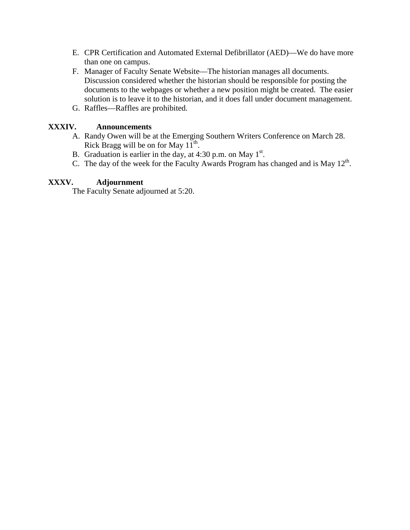- E. CPR Certification and Automated External Defibrillator (AED)—We do have more than one on campus.
- F. Manager of Faculty Senate Website—The historian manages all documents. Discussion considered whether the historian should be responsible for posting the documents to the webpages or whether a new position might be created. The easier solution is to leave it to the historian, and it does fall under document management.
- G. Raffles—Raffles are prohibited.

## **XXXIV. Announcements**

- A. Randy Owen will be at the Emerging Southern Writers Conference on March 28. Rick Bragg will be on for May  $11^{th}$ .
- B. Graduation is earlier in the day, at  $4:30$  p.m. on May  $1<sup>st</sup>$ .
- C. The day of the week for the Faculty Awards Program has changed and is May  $12<sup>th</sup>$ .

## **XXXV. Adjournment**

The Faculty Senate adjourned at 5:20.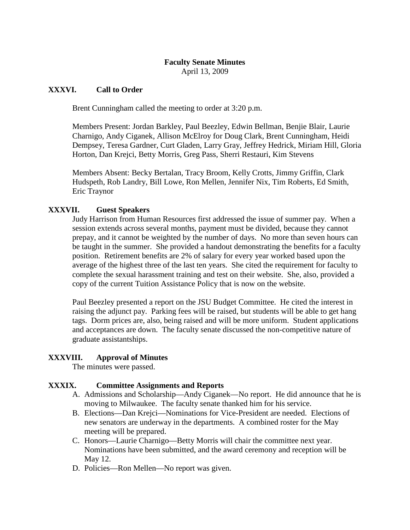April 13, 2009

## **XXXVI. Call to Order**

Brent Cunningham called the meeting to order at 3:20 p.m.

Members Present: Jordan Barkley, Paul Beezley, Edwin Bellman, Benjie Blair, Laurie Charnigo, Andy Ciganek, Allison McElroy for Doug Clark, Brent Cunningham, Heidi Dempsey, Teresa Gardner, Curt Gladen, Larry Gray, Jeffrey Hedrick, Miriam Hill, Gloria Horton, Dan Krejci, Betty Morris, Greg Pass, Sherri Restauri, Kim Stevens

Members Absent: Becky Bertalan, Tracy Broom, Kelly Crotts, Jimmy Griffin, Clark Hudspeth, Rob Landry, Bill Lowe, Ron Mellen, Jennifer Nix, Tim Roberts, Ed Smith, Eric Traynor

# **XXXVII. Guest Speakers**

Judy Harrison from Human Resources first addressed the issue of summer pay. When a session extends across several months, payment must be divided, because they cannot prepay, and it cannot be weighted by the number of days. No more than seven hours can be taught in the summer. She provided a handout demonstrating the benefits for a faculty position. Retirement benefits are 2% of salary for every year worked based upon the average of the highest three of the last ten years. She cited the requirement for faculty to complete the sexual harassment training and test on their website. She, also, provided a copy of the current Tuition Assistance Policy that is now on the website.

Paul Beezley presented a report on the JSU Budget Committee. He cited the interest in raising the adjunct pay. Parking fees will be raised, but students will be able to get hang tags. Dorm prices are, also, being raised and will be more uniform. Student applications and acceptances are down. The faculty senate discussed the non-competitive nature of graduate assistantships.

# **XXXVIII. Approval of Minutes**

The minutes were passed.

# **XXXIX. Committee Assignments and Reports**

- A. Admissions and Scholarship—Andy Ciganek—No report. He did announce that he is moving to Milwaukee. The faculty senate thanked him for his service.
- B. Elections—Dan Krejci—Nominations for Vice-President are needed. Elections of new senators are underway in the departments. A combined roster for the May meeting will be prepared.
- C. Honors—Laurie Charnigo—Betty Morris will chair the committee next year. Nominations have been submitted, and the award ceremony and reception will be May 12.
- D. Policies—Ron Mellen—No report was given.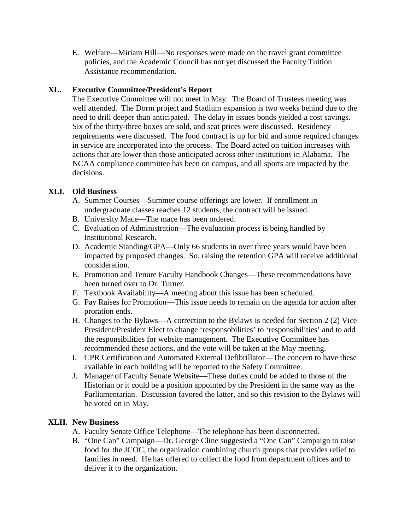E. Welfare—Miriam Hill—No responses were made on the travel grant committee policies, and the Academic Council has not yet discussed the Faculty Tuition Assistance recommendation.

# **XL. Executive Committee/President's Report**

The Executive Committee will not meet in May. The Board of Trustees meeting was well attended. The Dorm project and Stadium expansion is two weeks behind due to the need to drill deeper than anticipated. The delay in issues bonds yielded a cost savings. Six of the thirty-three boxes are sold, and seat prices were discussed. Residency requirements were discussed. The food contract is up for bid and some required changes in service are incorporated into the process. The Board acted on tuition increases with actions that are lower than those anticipated across other institutions in Alabama. The NCAA compliance committee has been on campus, and all sports are impacted by the decisions.

## **XLI. Old Business**

- A. Summer Courses—Summer course offerings are lower. If enrollment in undergraduate classes reaches 12 students, the contract will be issued.
- B. University Mace—The mace has been ordered.
- C. Evaluation of Administration—The evaluation process is being handled by Institutional Research.
- D. Academic Standing/GPA—Only 66 students in over three years would have been impacted by proposed changes. So, raising the retention GPA will receive additional consideration.
- E. Promotion and Tenure Faculty Handbook Changes—These recommendations have been turned over to Dr. Turner.
- F. Textbook Availability—A meeting about this issue has been scheduled.
- G. Pay Raises for Promotion—This issue needs to remain on the agenda for action after proration ends.
- H. Changes to the Bylaws—A correction to the Bylaws is needed for Section 2 (2) Vice President/President Elect to change 'responsobilities' to 'responsibilities' and to add the responsibilities for website management. The Executive Committee has recommended these actions, and the vote will be taken at the May meeting.
- I. CPR Certification and Automated External Defibrillator—The concern to have these available in each building will be reported to the Safety Committee.
- J. Manager of Faculty Senate Website—These duties could be added to those of the Historian or it could be a position appointed by the President in the same way as the Parliamentarian. Discussion favored the latter, and so this revision to the Bylaws will be voted on in May.

### **XLII. New Business**

- A. Faculty Senate Office Telephone—The telephone has been disconnected.
- B. "One Can" Campaign—Dr. George Cline suggested a "One Can" Campaign to raise food for the JCOC, the organization combining church groups that provides relief to families in need. He has offered to collect the food from department offices and to deliver it to the organization.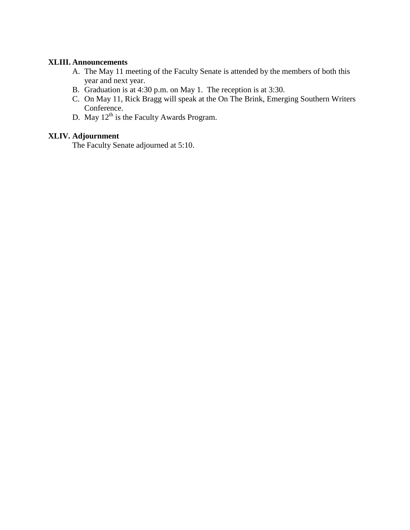#### **XLIII. Announcements**

- A. The May 11 meeting of the Faculty Senate is attended by the members of both this year and next year.
- B. Graduation is at 4:30 p.m. on May 1. The reception is at 3:30.
- C. On May 11, Rick Bragg will speak at the On The Brink, Emerging Southern Writers Conference.
- D. May  $12<sup>th</sup>$  is the Faculty Awards Program.

# **XLIV. Adjournment**

The Faculty Senate adjourned at 5:10.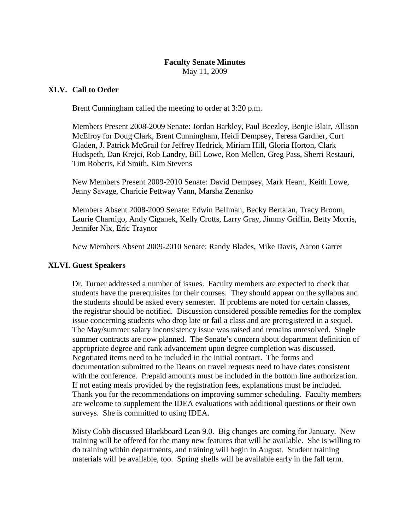May 11, 2009

## **XLV. Call to Order**

Brent Cunningham called the meeting to order at 3:20 p.m.

Members Present 2008-2009 Senate: Jordan Barkley, Paul Beezley, Benjie Blair, Allison McElroy for Doug Clark, Brent Cunningham, Heidi Dempsey, Teresa Gardner, Curt Gladen, J. Patrick McGrail for Jeffrey Hedrick, Miriam Hill, Gloria Horton, Clark Hudspeth, Dan Krejci, Rob Landry, Bill Lowe, Ron Mellen, Greg Pass, Sherri Restauri, Tim Roberts, Ed Smith, Kim Stevens

New Members Present 2009-2010 Senate: David Dempsey, Mark Hearn, Keith Lowe, Jenny Savage, Charicie Pettway Vann, Marsha Zenanko

Members Absent 2008-2009 Senate: Edwin Bellman, Becky Bertalan, Tracy Broom, Laurie Charnigo, Andy Ciganek, Kelly Crotts, Larry Gray, Jimmy Griffin, Betty Morris, Jennifer Nix, Eric Traynor

New Members Absent 2009-2010 Senate: Randy Blades, Mike Davis, Aaron Garret

### **XLVI. Guest Speakers**

Dr. Turner addressed a number of issues. Faculty members are expected to check that students have the prerequisites for their courses. They should appear on the syllabus and the students should be asked every semester. If problems are noted for certain classes, the registrar should be notified. Discussion considered possible remedies for the complex issue concerning students who drop late or fail a class and are preregistered in a sequel. The May/summer salary inconsistency issue was raised and remains unresolved. Single summer contracts are now planned. The Senate's concern about department definition of appropriate degree and rank advancement upon degree completion was discussed. Negotiated items need to be included in the initial contract. The forms and documentation submitted to the Deans on travel requests need to have dates consistent with the conference. Prepaid amounts must be included in the bottom line authorization. If not eating meals provided by the registration fees, explanations must be included. Thank you for the recommendations on improving summer scheduling. Faculty members are welcome to supplement the IDEA evaluations with additional questions or their own surveys. She is committed to using IDEA.

Misty Cobb discussed Blackboard Lean 9.0. Big changes are coming for January. New training will be offered for the many new features that will be available. She is willing to do training within departments, and training will begin in August. Student training materials will be available, too. Spring shells will be available early in the fall term.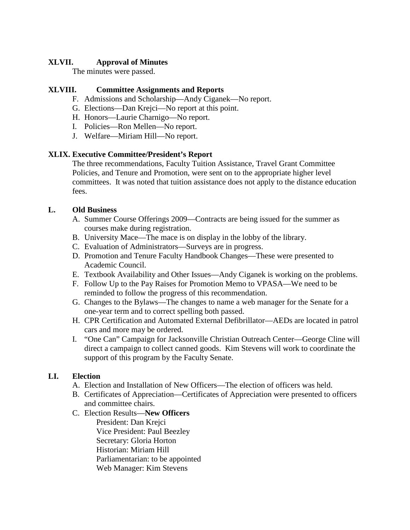# **XLVII. Approval of Minutes**

The minutes were passed.

# **XLVIII. Committee Assignments and Reports**

- F. Admissions and Scholarship—Andy Ciganek—No report.
- G. Elections—Dan Krejci—No report at this point.
- H. Honors—Laurie Charnigo—No report.
- I. Policies—Ron Mellen—No report.
- J. Welfare—Miriam Hill—No report.

# **XLIX. Executive Committee/President's Report**

The three recommendations, Faculty Tuition Assistance, Travel Grant Committee Policies, and Tenure and Promotion, were sent on to the appropriate higher level committees. It was noted that tuition assistance does not apply to the distance education fees.

# **L. Old Business**

- A. Summer Course Offerings 2009—Contracts are being issued for the summer as courses make during registration.
- B. University Mace—The mace is on display in the lobby of the library.
- C. Evaluation of Administrators—Surveys are in progress.
- D. Promotion and Tenure Faculty Handbook Changes—These were presented to Academic Council.
- E. Textbook Availability and Other Issues—Andy Ciganek is working on the problems.
- F. Follow Up to the Pay Raises for Promotion Memo to VPASA—We need to be reminded to follow the progress of this recommendation.
- G. Changes to the Bylaws—The changes to name a web manager for the Senate for a one-year term and to correct spelling both passed.
- H. CPR Certification and Automated External Defibrillator—AEDs are located in patrol cars and more may be ordered.
- I. "One Can" Campaign for Jacksonville Christian Outreach Center—George Cline will direct a campaign to collect canned goods. Kim Stevens will work to coordinate the support of this program by the Faculty Senate.

# **LI. Election**

- A. Election and Installation of New Officers—The election of officers was held.
- B. Certificates of Appreciation—Certificates of Appreciation were presented to officers and committee chairs.

# C. Election Results—**New Officers**

President: Dan Krejci Vice President: Paul Beezley Secretary: Gloria Horton Historian: Miriam Hill Parliamentarian: to be appointed Web Manager: Kim Stevens